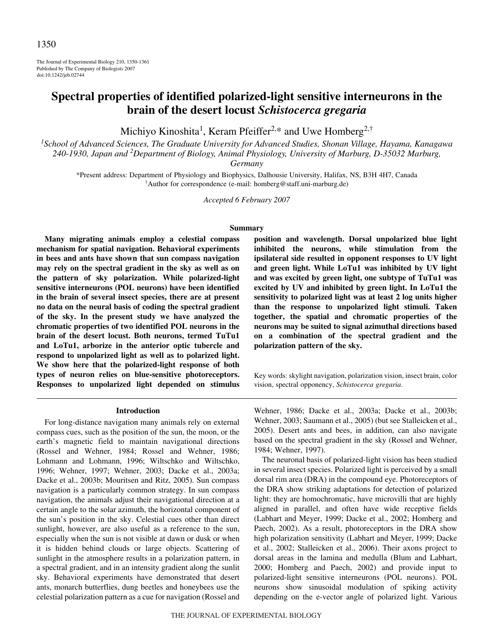The Journal of Experimental Biology 210, 1350-1361 Published by The Company of Biologists 2007 doi:10.1242/jeb.02744

# **Spectral properties of identified polarized-light sensitive interneurons in the brain of the desert locust** *Schistocerca gregaria*

Michiyo Kinoshita<sup>1</sup>, Keram Pfeiffer<sup>2,\*</sup> and Uwe Homberg<sup>2,†</sup>

*1 School of Advanced Sciences, The Graduate University for Advanced Studies, Shonan Village, Hayama, Kanagawa 240-1930, Japan and 2 Department of Biology, Animal Physiology, University of Marburg, D-35032 Marburg,*

*Germany*

\*Present address: Department of Physiology and Biophysics, Dalhousie University, Halifax, NS, B3H 4H7, Canada † Author for correspondence (e-mail: homberg@staff.uni-marburg.de)

*Accepted 6 February 2007*

### **Summary**

**Many migrating animals employ a celestial compass mechanism for spatial navigation. Behavioral experiments in bees and ants have shown that sun compass navigation may rely on the spectral gradient in the sky as well as on the pattern of sky polarization. While polarized-light sensitive interneurons (POL neurons) have been identified in the brain of several insect species, there are at present no data on the neural basis of coding the spectral gradient of the sky. In the present study we have analyzed the chromatic properties of two identified POL neurons in the brain of the desert locust. Both neurons, termed TuTu1 and LoTu1, arborize in the anterior optic tubercle and respond to unpolarized light as well as to polarized light. We show here that the polarized-light response of both types of neuron relies on blue-sensitive photoreceptors. Responses to unpolarized light depended on stimulus**

#### **Introduction**

For long-distance navigation many animals rely on external compass cues, such as the position of the sun, the moon, or the earth's magnetic field to maintain navigational directions (Rossel and Wehner, 1984; Rossel and Wehner, 1986; Lohmann and Lohmann, 1996; Wiltschko and Wiltschko, 1996; Wehner, 1997; Wehner, 2003; Dacke et al., 2003a; Dacke et al., 2003b; Mouritsen and Ritz, 2005). Sun compass navigation is a particularly common strategy. In sun compass navigation, the animals adjust their navigational direction at a certain angle to the solar azimuth, the horizontal component of the sun's position in the sky. Celestial cues other than direct sunlight, however, are also useful as a reference to the sun, especially when the sun is not visible at dawn or dusk or when it is hidden behind clouds or large objects. Scattering of sunlight in the atmosphere results in a polarization pattern, in a spectral gradient, and in an intensity gradient along the sunlit sky. Behavioral experiments have demonstrated that desert ants, monarch butterflies, dung beetles and honeybees use the celestial polarization pattern as a cue for navigation (Rossel and **position and wavelength. Dorsal unpolarized blue light inhibited the neurons, while stimulation from the ipsilateral side resulted in opponent responses to UV light and green light. While LoTu1 was inhibited by UV light and was excited by green light, one subtype of TuTu1 was excited by UV and inhibited by green light. In LoTu1 the sensitivity to polarized light was at least 2 log units higher than the response to unpolarized light stimuli. Taken together, the spatial and chromatic properties of the neurons may be suited to signal azimuthal directions based on a combination of the spectral gradient and the polarization pattern of the sky.**

Key words: skylight navigation, polarization vision, insect brain, color vision, spectral opponency, *Schistocerca gregaria*.

Wehner, 1986; Dacke et al., 2003a; Dacke et al., 2003b; Wehner, 2003; Saumann et al., 2005) (but see Stalleicken et al., 2005). Desert ants and bees, in addition, can also navigate based on the spectral gradient in the sky (Rossel and Wehner, 1984; Wehner, 1997).

The neuronal basis of polarized-light vision has been studied in several insect species. Polarized light is perceived by a small dorsal rim area (DRA) in the compound eye. Photoreceptors of the DRA show striking adaptations for detection of polarized light: they are homochromatic, have microvilli that are highly aligned in parallel, and often have wide receptive fields (Labhart and Meyer, 1999; Dacke et al., 2002; Homberg and Paech, 2002). As a result, photoreceptors in the DRA show high polarization sensitivity (Labhart and Meyer, 1999; Dacke et al., 2002; Stalleicken et al., 2006). Their axons project to dorsal areas in the lamina and medulla (Blum and Labhart, 2000; Homberg and Paech, 2002) and provide input to polarized-light sensitive interneurons (POL neurons). POL neurons show sinusoidal modulation of spiking activity depending on the e-vector angle of polarized light. Various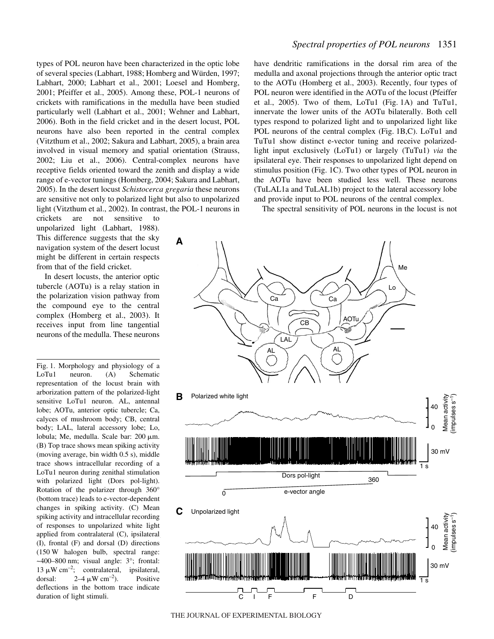types of POL neuron have been characterized in the optic lobe of several species (Labhart, 1988; Homberg and Würden, 1997; Labhart, 2000; Labhart et al., 2001; Loesel and Homberg, 2001; Pfeiffer et al., 2005). Among these, POL-1 neurons of crickets with ramifications in the medulla have been studied particularly well (Labhart et al., 2001; Wehner and Labhart, 2006). Both in the field cricket and in the desert locust, POL neurons have also been reported in the central complex (Vitzthum et al., 2002; Sakura and Labhart, 2005), a brain area involved in visual memory and spatial orientation (Strauss, 2002; Liu et al., 2006). Central-complex neurons have receptive fields oriented toward the zenith and display a wide range of e-vector tunings (Homberg, 2004; Sakura and Labhart, 2005). In the desert locust *Schistocerca gregaria* these neurons are sensitive not only to polarized light but also to unpolarized light (Vitzthum et al., 2002). In contrast, the POL-1 neurons in

crickets are not sensitive to unpolarized light (Labhart, 1988). This difference suggests that the sky navigation system of the desert locust might be different in certain respects from that of the field cricket.

In desert locusts, the anterior optic tubercle (AOTu) is a relay station in the polarization vision pathway from the compound eye to the central complex (Homberg et al., 2003). It receives input from line tangential neurons of the medulla. These neurons

Fig. 1. Morphology and physiology of a LoTu1 neuron. (A) Schematic representation of the locust brain with arborization pattern of the polarized-light sensitive LoTu1 neuron. AL, antennal lobe; AOTu, anterior optic tubercle; Ca, calyces of mushroom body; CB, central body; LAL, lateral accessory lobe; Lo, lobula; Me, medulla. Scale bar: 200 µm. (B) Top trace shows mean spiking activity (moving average, bin width  $0.5$  s), middle trace shows intracellular recording of a LoTu1 neuron during zenithal stimulation with polarized light (Dors pol-light). Rotation of the polarizer through 360° (bottom trace) leads to e-vector-dependent changes in spiking activity. (C) Mean spiking activity and intracellular recording of responses to unpolarized white light applied from contralateral (C), ipsilateral (I), frontal (F) and dorsal (D) directions (150·W halogen bulb, spectral range:  $\sim$ 400–800 nm; visual angle:  $3^{\circ}$ ; frontal: 13  $\mu$ W cm<sup>-2</sup>; contralateral, ipsilateral, dorsal: 2–4·- $2-4 \mu W \text{ cm}^{-2}$ ). Positive deflections in the bottom trace indicate duration of light stimuli.

# *Spectral properties of POL neurons* 1351

have dendritic ramifications in the dorsal rim area of the medulla and axonal projections through the anterior optic tract to the AOTu (Homberg et al., 2003). Recently, four types of POL neuron were identified in the AOTu of the locust (Pfeiffer et al.,  $2005$ ). Two of them, LoTu1 (Fig. 1A) and TuTu1, innervate the lower units of the AOTu bilaterally. Both cell types respond to polarized light and to unpolarized light like POL neurons of the central complex (Fig. 1B,C). LoTu1 and TuTu1 show distinct e-vector tuning and receive polarizedlight input exclusively (LoTu1) or largely (TuTu1) *via* the ipsilateral eye. Their responses to unpolarized light depend on stimulus position (Fig. 1C). Two other types of POL neuron in the AOTu have been studied less well. These neurons (TuLAL1a and TuLAL1b) project to the lateral accessory lobe and provide input to POL neurons of the central complex.

The spectral sensitivity of POL neurons in the locust is not



THE JOURNAL OF EXPERIMENTAL BIOLOGY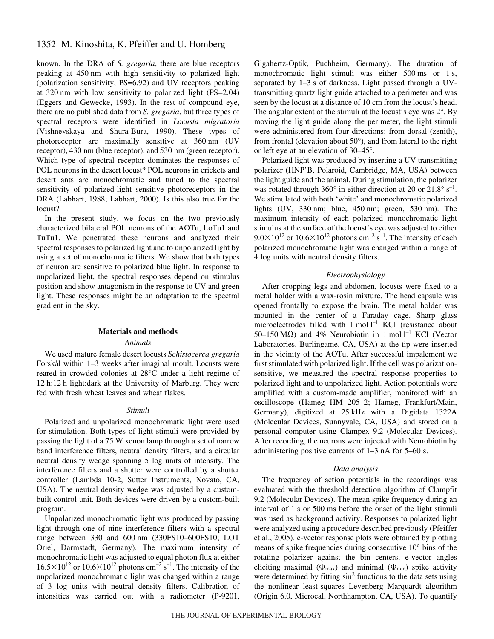# 1352 M. Kinoshita, K. Pfeiffer and U. Homberg

known. In the DRA of *S. gregaria*, there are blue receptors peaking at 450 nm with high sensitivity to polarized light (polarization sensitivity, PS=6.92) and UV receptors peaking at 320 nm with low sensitivity to polarized light  $(PS=2.04)$ (Eggers and Gewecke, 1993). In the rest of compound eye, there are no published data from *S. gregaria*, but three types of spectral receptors were identified in *Locusta migratoria* (Vishnevskaya and Shura-Bura, 1990). These types of photoreceptor are maximally sensitive at 360 nm (UV receptor), 430 nm (blue receptor), and 530 nm (green receptor). Which type of spectral receptor dominates the responses of POL neurons in the desert locust? POL neurons in crickets and desert ants are monochromatic and tuned to the spectral sensitivity of polarized-light sensitive photoreceptors in the DRA (Labhart, 1988; Labhart, 2000). Is this also true for the locust?

In the present study, we focus on the two previously characterized bilateral POL neurons of the AOTu, LoTu1 and TuTu1. We penetrated these neurons and analyzed their spectral responses to polarized light and to unpolarized light by using a set of monochromatic filters. We show that both types of neuron are sensitive to polarized blue light. In response to unpolarized light, the spectral responses depend on stimulus position and show antagonism in the response to UV and green light. These responses might be an adaptation to the spectral gradient in the sky.

### **Materials and methods**

#### *Animals*

We used mature female desert locusts *Schistocerca gregaria* Forskål within 1–3 weeks after imaginal moult. Locusts were reared in crowded colonies at 28°C under a light regime of 12 h:12 h light:dark at the University of Marburg. They were fed with fresh wheat leaves and wheat flakes.

#### *Stimuli*

Polarized and unpolarized monochromatic light were used for stimulation. Both types of light stimuli were provided by passing the light of a 75 W xenon lamp through a set of narrow band interference filters, neutral density filters, and a circular neutral density wedge spanning 5 log units of intensity. The interference filters and a shutter were controlled by a shutter controller (Lambda 10-2, Sutter Instruments, Novato, CA, USA). The neutral density wedge was adjusted by a custombuilt control unit. Both devices were driven by a custom-built program.

Unpolarized monochromatic light was produced by passing light through one of nine interference filters with a spectral range between 330 and 600 nm (330FS10–600FS10; LOT Oriel, Darmstadt, Germany). The maximum intensity of monochromatic light was adjusted to equal photon flux at either  $16.5\times10^{12}$  or  $10.6\times10^{12}$  photons cm<sup>-2</sup> s<sup>-1</sup>. The intensity of the unpolarized monochromatic light was changed within a range of 3 log units with neutral density filters. Calibration of intensities was carried out with a radiometer (P-9201, Gigahertz-Optik, Puchheim, Germany). The duration of monochromatic light stimuli was either  $500 \text{ ms}$  or 1 s, separated by  $1-3$  s of darkness. Light passed through a UVtransmitting quartz light guide attached to a perimeter and was seen by the locust at a distance of 10 cm from the locust's head. The angular extent of the stimuli at the locust's eye was 2°. By moving the light guide along the perimeter, the light stimuli were administered from four directions: from dorsal (zenith), from frontal (elevation about 50°), and from lateral to the right or left eye at an elevation of 30–45°.

Polarized light was produced by inserting a UV transmitting polarizer (HNP'B, Polaroid, Cambridge, MA, USA) between the light guide and the animal. During stimulation, the polarizer was rotated through  $360^{\circ}$  in either direction at 20 or  $21.8^{\circ}$  s<sup>-1</sup>. We stimulated with both 'white' and monochromatic polarized lights (UV,  $330 \text{ nm}$ ; blue,  $450 \text{ nm}$ ; green,  $530 \text{ nm}$ ). The maximum intensity of each polarized monochromatic light stimulus at the surface of the locust's eye was adjusted to either  $9.0\times10^{12}$  or  $10.6\times10^{12}$  photons cm<sup>-2</sup> s<sup>-1</sup>. The intensity of each polarized monochromatic light was changed within a range of 4 log units with neutral density filters.

### *Electrophysiology*

After cropping legs and abdomen, locusts were fixed to a metal holder with a wax-rosin mixture. The head capsule was opened frontally to expose the brain. The metal holder was mounted in the center of a Faraday cage. Sharp glass microelectrodes filled with  $1 \text{ mol } l^{-1}$  KCl (resistance about 50–150 M $\Omega$ ) and 4% Neurobiotin in 1 mol l<sup>-1</sup> KCl (Vector Laboratories, Burlingame, CA, USA) at the tip were inserted in the vicinity of the AOTu. After successful impalement we first stimulated with polarized light. If the cell was polarizationsensitive, we measured the spectral response properties to polarized light and to unpolarized light. Action potentials were amplified with a custom-made amplifier, monitored with an oscilloscope (Hameg HM 205–2; Hameg, Frankfurt/Main, Germany), digitized at 25 kHz with a Digidata 1322A (Molecular Devices, Sunnyvale, CA, USA) and stored on a personal computer using Clampex 9.2 (Molecular Devices). After recording, the neurons were injected with Neurobiotin by administering positive currents of  $1-3$  nA for  $5-60$  s.

### *Data analysis*

The frequency of action potentials in the recordings was evaluated with the threshold detection algorithm of Clampfit 9.2 (Molecular Devices). The mean spike frequency during an interval of 1 s or 500 ms before the onset of the light stimuli was used as background activity. Responses to polarized light were analyzed using a procedure described previously (Pfeiffer et al., 2005). e-vector response plots were obtained by plotting means of spike frequencies during consecutive 10° bins of the rotating polarizer against the bin centers. e-vector angles eliciting maximal ( $\Phi_{\text{max}}$ ) and minimal ( $\Phi_{\text{min}}$ ) spike activity were determined by fitting  $\sin^2$  functions to the data sets using the nonlinear least-squares Levenberg–Marquardt algorithm (Origin 6.0, Microcal, Northhampton, CA, USA). To quantify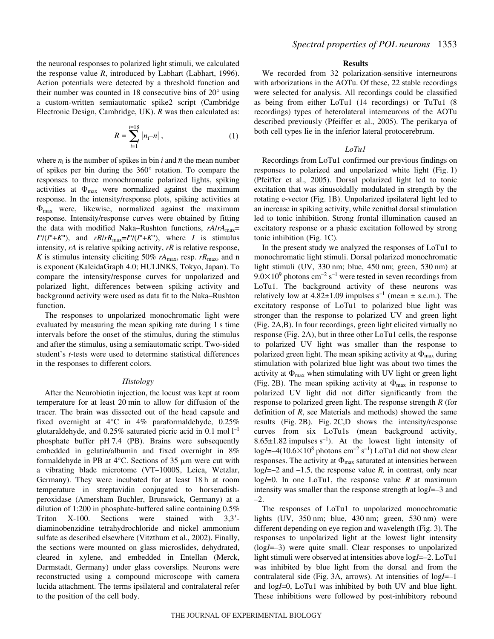the neuronal responses to polarized light stimuli, we calculated the response value *R*, introduced by Labhart (Labhart, 1996). Action potentials were detected by a threshold function and their number was counted in 18 consecutive bins of 20° using a custom-written semiautomatic spike2 script (Cambridge Electronic Design, Cambridge, UK). *R* was then calculated as:

$$
R = \sum_{i=1}^{i=18} |n_i - \overline{n}| \,, \tag{1}
$$

where  $n_i$  is the number of spikes in bin *i* and  $\bar{n}$  the mean number of spikes per bin during the 360° rotation. To compare the responses to three monochromatic polarized lights, spiking activities at  $\Phi_{\text{max}}$  were normalized against the maximum response. In the intensity/response plots, spiking activities at  $\Phi_{\text{max}}$  were, likewise, normalized against the maximum response. Intensity/response curves were obtained by fitting the data with modified Naka–Rushton functions, *rA*/*rA*max=  $I^{n}/(I^{n}+K^{n})$ , and  $rR/rR_{\text{max}}=I^{n}/(I^{n}+K^{n})$ , where *I* is stimulus intensity, *rA* is relative spiking activity, *rR* is relative response, *K* is stimulus intensity eliciting 50%  $rA_{\text{max}}$ , resp.  $rR_{\text{max}}$ , and n is exponent (KaleidaGraph 4.0; HULINKS, Tokyo, Japan). To compare the intensity/response curves for unpolarized and polarized light, differences between spiking activity and background activity were used as data fit to the Naka–Rushton function.

The responses to unpolarized monochromatic light were evaluated by measuring the mean spiking rate during 1 s time intervals before the onset of the stimulus, during the stimulus and after the stimulus, using a semiautomatic script. Two-sided student's *t*-tests were used to determine statistical differences in the responses to different colors.

### *Histology*

After the Neurobiotin injection, the locust was kept at room temperature for at least 20 min to allow for diffusion of the tracer. The brain was dissected out of the head capsule and fixed overnight at 4°C in 4% paraformaldehyde, 0.25% glutaraldehyde, and  $0.25\%$  saturated picric acid in 0.1 mol  $l^{-1}$ phosphate buffer pH 7.4 (PB). Brains were subsequently embedded in gelatin/albumin and fixed overnight in 8% formaldehyde in PB at  $4^{\circ}$ C. Sections of 35  $\mu$ m were cut with a vibrating blade microtome (VT–1000S, Leica, Wetzlar, Germany). They were incubated for at least 18 h at room temperature in streptavidin conjugated to horseradishperoxidase (Amersham Buchler, Brunswick, Germany) at a dilution of 1:200 in phosphate-buffered saline containing 0.5% Triton X-100. Sections were stained with 3,3 diaminobenzidine tetrahydrochloride and nickel ammonium sulfate as described elsewhere (Vitzthum et al., 2002). Finally, the sections were mounted on glass microslides, dehydrated, cleared in xylene, and embedded in Entellan (Merck, Darmstadt, Germany) under glass coverslips. Neurons were reconstructed using a compound microscope with camera lucida attachment. The terms ipsilateral and contralateral refer to the position of the cell body.

#### **Results**

We recorded from 32 polarization-sensitive interneurons with arborizations in the AOTu. Of these, 22 stable recordings were selected for analysis. All recordings could be classified as being from either LoTu1 (14 recordings) or TuTu1 (8 recordings) types of heterolateral interneurons of the AOTu described previously (Pfeiffer et al., 2005). The perikarya of both cell types lie in the inferior lateral protocerebrum.

### *LoTu1*

Recordings from LoTu1 confirmed our previous findings on responses to polarized and unpolarized white light  $(Fig. 1)$ (Pfeiffer et al., 2005). Dorsal polarized light led to tonic excitation that was sinusoidally modulated in strength by the rotating e-vector (Fig. 1B). Unpolarized ipsilateral light led to an increase in spiking activity, while zenithal dorsal stimulation led to tonic inhibition. Strong frontal illumination caused an excitatory response or a phasic excitation followed by strong tonic inhibition (Fig.  $1C$ ).

In the present study we analyzed the responses of LoTu1 to monochromatic light stimuli. Dorsal polarized monochromatic light stimuli (UV, 330 nm; blue, 450 nm; green, 530 nm) at  $9.0\times10^9$  photons cm<sup>-2</sup> s<sup>-1</sup> were tested in seven recordings from LoTu1. The background activity of these neurons was relatively low at  $4.82 \pm 1.09$  impulses s<sup>-1</sup> (mean  $\pm$  s.e.m.). The excitatory response of LoTu1 to polarized blue light was stronger than the response to polarized UV and green light  $(Fig. 2A,B)$ . In four recordings, green light elicited virtually no response (Fig. 2A), but in three other LoTu1 cells, the response to polarized UV light was smaller than the response to polarized green light. The mean spiking activity at  $\Phi_{\text{max}}$  during stimulation with polarized blue light was about two times the activity at  $\Phi_{\text{max}}$  when stimulating with UV light or green light (Fig. 2B). The mean spiking activity at  $\Phi_{\text{max}}$  in response to polarized UV light did not differ significantly from the response to polarized green light. The response strength *R* (for definition of *R*, see Materials and methods) showed the same results (Fig. 2B). Fig. 2C,D shows the intensity/response curves from six LoTu1s (mean background activity, 8.65 $\pm$ 1.82 impulses s<sup>-1</sup>). At the lowest light intensity of  $logI = -4(10.6 \times 10^8 \text{ photons cm}^{-2} \text{ s}^{-1})$  LoTu1 did not show clear responses. The activity at  $\Phi_{\text{max}}$  saturated at intensities between log*I*=–2 and –1.5, the response value *R,* in contrast, only near log*I*=0. In one LoTu1, the response value *R* at maximum intensity was smaller than the response strength at log*I*=–3 and –2.

The responses of LoTu1 to unpolarized monochromatic lights (UV,  $350 \text{ nm}$ ; blue,  $430 \text{ nm}$ ; green,  $530 \text{ nm}$ ) were different depending on eye region and wavelength (Fig. 3). The responses to unpolarized light at the lowest light intensity (log*I*=–3) were quite small. Clear responses to unpolarized light stimuli were observed at intensities above log*I*=–2. LoTu1 was inhibited by blue light from the dorsal and from the contralateral side (Fig. 3A, arrows). At intensities of log*I*=–1 and log*I*=0, LoTu1 was inhibited by both UV and blue light. These inhibitions were followed by post-inhibitory rebound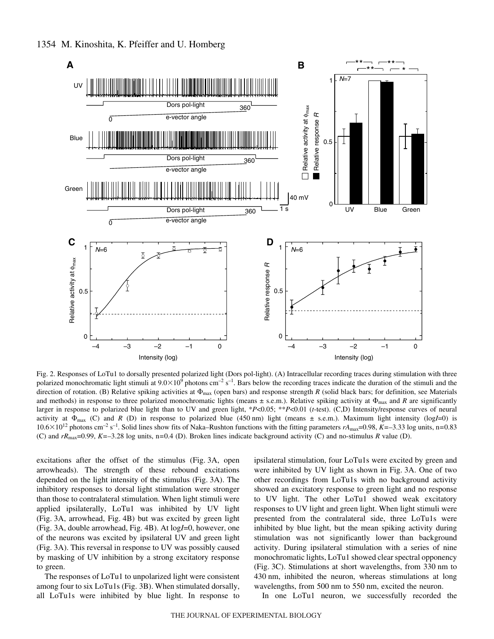

Fig. 2. Responses of LoTu1 to dorsally presented polarized light (Dors pol-light). (A) Intracellular recording traces during stimulation with three polarized monochromatic light stimuli at  $9.0 \times 10^9$  photons cm<sup>-2</sup> s<sup>-1</sup>. Bars below the recording traces indicate the duration of the stimuli and the direction of rotation. (B) Relative spiking activities at  $\Phi_{\text{max}}$  (open bars) and response strength *R* (solid black bars; for definition, see Materials and methods) in response to three polarized monochromatic lights (means  $\pm$  s.e.m.). Relative spiking activity at  $\Phi_{\text{max}}$  and *R* are significantly larger in response to polarized blue light than to UV and green light, \**P*<0.05; \*\**P*<0.01 (*t*-test). (C,D) Intensity/response curves of neural activity at  $\Phi_{\text{max}}$  (C) and *R* (D) in response to polarized blue (450 nm) light (means  $\pm$  s.e.m.). Maximum light intensity (log*I*=0) is 10.6×10<sup>12</sup> photons cm<sup>-2</sup> s<sup>-1</sup>. Solid lines show fits of Naka–Rushton functions with the fitting parameters  $rA_{\text{max}}$ =0.98, *K*=–3.33 log units, n=0.83 (C) and *rR*max=0.99, *K=*–3.28 log units, n*=*0.4 (D). Broken lines indicate background activity (C) and no-stimulus *R* value (D).

excitations after the offset of the stimulus (Fig. 3A, open arrowheads). The strength of these rebound excitations depended on the light intensity of the stimulus (Fig. 3A). The inhibitory responses to dorsal light stimulation were stronger than those to contralateral stimulation. When light stimuli were applied ipsilaterally, LoTu1 was inhibited by UV light (Fig. 3A, arrowhead, Fig. 4B) but was excited by green light (Fig. 3A, double arrowhead, Fig. 4B). At logI=0, however, one of the neurons was excited by ipsilateral UV and green light (Fig. 3A). This reversal in response to UV was possibly caused by masking of UV inhibition by a strong excitatory response to green.

The responses of LoTu1 to unpolarized light were consistent among four to six LoTu1s (Fig. 3B). When stimulated dorsally, all LoTu1s were inhibited by blue light. In response to ipsilateral stimulation, four LoTu1s were excited by green and were inhibited by UV light as shown in Fig. 3A. One of two other recordings from LoTu1s with no background activity showed an excitatory response to green light and no response to UV light. The other LoTu1 showed weak excitatory responses to UV light and green light. When light stimuli were presented from the contralateral side, three LoTu1s were inhibited by blue light, but the mean spiking activity during stimulation was not significantly lower than background activity. During ipsilateral stimulation with a series of nine monochromatic lights, LoTu1 showed clear spectral opponency (Fig. 3C). Stimulations at short wavelengths, from 330 nm to 430 nm, inhibited the neuron, whereas stimulations at long wavelengths, from 500 nm to 550 nm, excited the neuron.

In one LoTu1 neuron, we successfully recorded the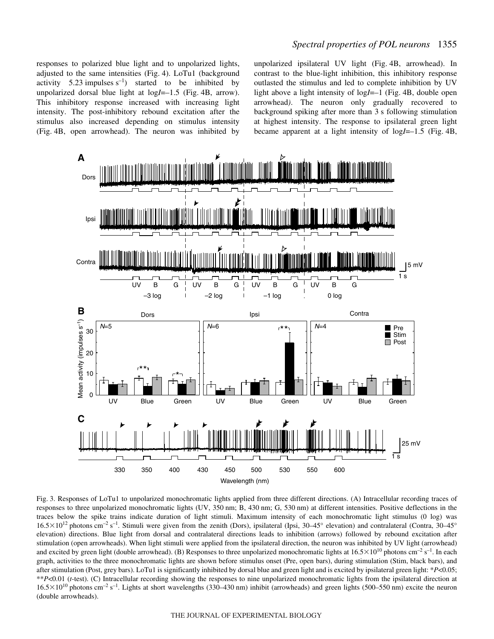# *Spectral properties of POL neurons* 1355

responses to polarized blue light and to unpolarized lights, adjusted to the same intensities (Fig. 4). LoTu1 (background activity 5.23 impulses  $s^{-1}$ ) started to be inhibited by unpolarized dorsal blue light at  $logI=-1.5$  (Fig. 4B, arrow). This inhibitory response increased with increasing light intensity. The post-inhibitory rebound excitation after the stimulus also increased depending on stimulus intensity (Fig. 4B, open arrowhead). The neuron was inhibited by unpolarized ipsilateral UV light (Fig. 4B, arrowhead). In contrast to the blue-light inhibition, this inhibitory response outlasted the stimulus and led to complete inhibition by UV light above a light intensity of log*I*=–1 (Fig. 4B, double open arrowhead*)*. The neuron only gradually recovered to background spiking after more than 3 s following stimulation at highest intensity. The response to ipsilateral green light became apparent at a light intensity of  $logI=-1.5$  (Fig. 4B,



Fig. 3. Responses of LoTu1 to unpolarized monochromatic lights applied from three different directions. (A) Intracellular recording traces of responses to three unpolarized monochromatic lights (UV, 350 nm; B, 430 nm; G, 530 nm) at different intensities. Positive deflections in the traces below the spike trains indicate duration of light stimuli. Maximum intensity of each monochromatic light stimulus (0 log) was  $16.5\times10^{12}$  photons cm<sup>-2</sup> s<sup>-1</sup>. Stimuli were given from the zenith (Dors), ipsilateral (Ipsi, 30–45° elevation) and contralateral (Contra, 30–45° elevation) directions. Blue light from dorsal and contralateral directions leads to inhibition (arrows) followed by rebound excitation after stimulation (open arrowheads). When light stimuli were applied from the ipsilateral direction, the neuron was inhibited by UV light (arrowhead) and excited by green light (double arrowhead). (B) Responses to three unpolarized monochromatic lights at  $16.5\times10^{10}$  photons cm<sup>-2</sup> s<sup>-1</sup>. In each graph, activities to the three monochromatic lights are shown before stimulus onset (Pre, open bars), during stimulation (Stim, black bars), and after stimulation (Post, grey bars). LoTu1 is significantly inhibited by dorsal blue and green light and is excited by ipsilateral green light: \**P*<0.05; \*\**P*<0.01 (*t*-test). (C) Intracellular recording showing the responses to nine unpolarized monochromatic lights from the ipsilateral direction at  $16.5\times10^{10}$  photons cm<sup>-2</sup> s<sup>-1</sup>. Lights at short wavelengths (330–430 nm) inhibit (arrowheads) and green lights (500–550 nm) excite the neuron (double arrowheads).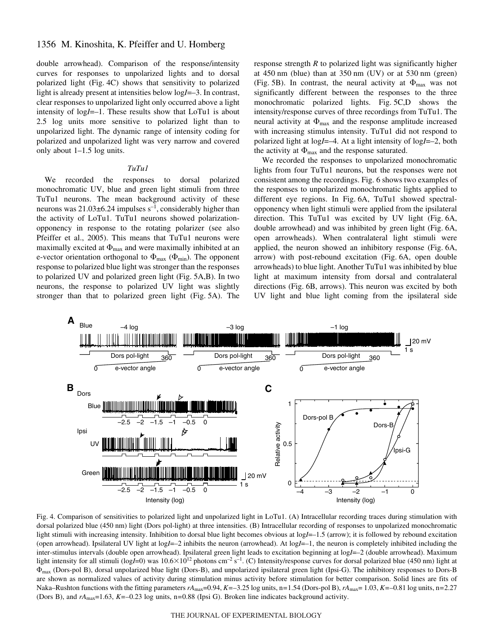# 1356 M. Kinoshita, K. Pfeiffer and U. Homberg

double arrowhead). Comparison of the response/intensity curves for responses to unpolarized lights and to dorsal polarized light (Fig. 4C) shows that sensitivity to polarized light is already present at intensities below log*I*=–3. In contrast, clear responses to unpolarized light only occurred above a light intensity of log*I*=–1. These results show that LoTu1 is about 2.5 log units more sensitive to polarized light than to unpolarized light. The dynamic range of intensity coding for polarized and unpolarized light was very narrow and covered only about 1–1.5 log units.

### *TuTu1*

We recorded the responses to dorsal polarized monochromatic UV, blue and green light stimuli from three TuTu1 neurons. The mean background activity of these neurons was  $21.03\pm6.24$  impulses s<sup>-1</sup>, considerably higher than the activity of LoTu1. TuTu1 neurons showed polarizationopponency in response to the rotating polarizer (see also Pfeiffer et al., 2005). This means that TuTu1 neurons were maximally excited at  $\Phi_{\text{max}}$  and were maximally inhibited at an e-vector orientation orthogonal to  $\Phi_{\text{max}}$  ( $\Phi_{\text{min}}$ ). The opponent response to polarized blue light was stronger than the responses to polarized UV and polarized green light (Fig. 5A,B). In two neurons, the response to polarized UV light was slightly stronger than that to polarized green light (Fig. 5A). The response strength *R* to polarized light was significantly higher at  $450$  nm (blue) than at  $350$  nm (UV) or at  $530$  nm (green) (Fig. 5B). In contrast, the neural activity at  $\Phi_{\text{max}}$  was not significantly different between the responses to the three monochromatic polarized lights. Fig. 5C,D shows the intensity/response curves of three recordings from TuTu1. The neural activity at  $\Phi_{\text{max}}$  and the response amplitude increased with increasing stimulus intensity. TuTu1 did not respond to polarized light at log*I*=–4. At a light intensity of log*I*=–2, both the activity at  $\Phi_{\text{max}}$  and the response saturated.

We recorded the responses to unpolarized monochromatic lights from four TuTu1 neurons, but the responses were not consistent among the recordings. Fig. 6 shows two examples of the responses to unpolarized monochromatic lights applied to different eye regions. In Fig. 6A, TuTu1 showed spectralopponency when light stimuli were applied from the ipsilateral direction. This TuTu1 was excited by UV light (Fig.  $6A$ , double arrowhead) and was inhibited by green light (Fig. 6A, open arrowheads). When contralateral light stimuli were applied, the neuron showed an inhibitory response (Fig. 6A, arrow) with post-rebound excitation (Fig. 6A, open double arrowheads) to blue light. Another TuTu1 was inhibited by blue light at maximum intensity from dorsal and contralateral directions (Fig. 6B, arrows). This neuron was excited by both UV light and blue light coming from the ipsilateral side



Fig. 4. Comparison of sensitivities to polarized light and unpolarized light in LoTu1. (A) Intracellular recording traces during stimulation with dorsal polarized blue (450 nm) light (Dors pol-light) at three intensities. (B) Intracellular recording of responses to unpolarized monochromatic light stimuli with increasing intensity. Inhibition to dorsal blue light becomes obvious at log*I*=–1.5 (arrow); it is followed by rebound excitation (open arrowhead). Ipsilateral UV light at log*I*=–2 inhibits the neuron (arrowhead). At log*I*=–1, the neuron is completely inhibited including the inter-stimulus intervals (double open arrowhead). Ipsilateral green light leads to excitation beginning at log*I*=–2 (double arrowhead). Maximum light intensity for all stimuli (log*I*=0) was  $10.6\times10^{12}$  photons cm<sup>-2</sup> s<sup>-1</sup>. (C) Intensity/response curves for dorsal polarized blue (450 nm) light at  $\Phi_{\text{max}}$  (Dors-pol B), dorsal unpolarized blue light (Dors-B), and unpolarized ipsilateral green light (Ipsi-G). The inhibitory responses to Dors-B are shown as normalized values of activity during stimulation minus activity before stimulation for better comparison. Solid lines are fits of Naka–Rushton functions with the fitting parameters  $rA_{\text{max}}=0.94$ ,  $K=-3.25$  log units, n=1.54 (Dors-pol B),  $rA_{\text{max}}=1.03$ ,  $K=-0.81$  log units, n=2.27 (Dors B), and *rA*max=1.63, *K=*–0.23 log units, n*=*0.88 (Ipsi G). Broken line indicates background activity.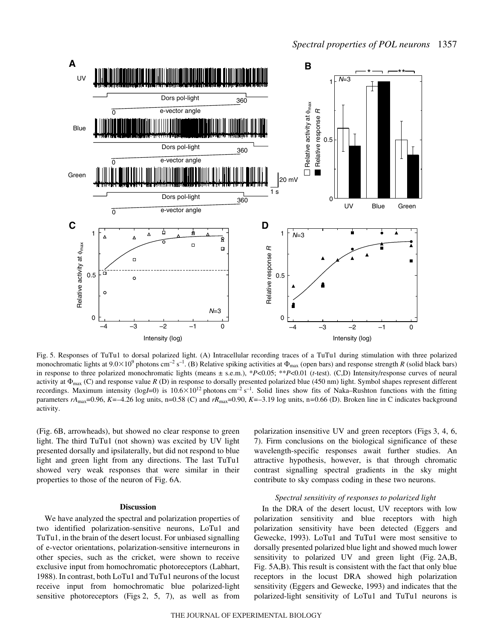

Fig. 5. Responses of TuTu1 to dorsal polarized light. (A) Intracellular recording traces of a TuTu1 during stimulation with three polarized monochromatic lights at  $9.0 \times 10^9$  photons cm<sup>-2</sup> s<sup>-1</sup>. (B) Relative spiking activities at  $\Phi_{\text{max}}$  (open bars) and response strength *R* (solid black bars) in response to three polarized monochromatic lights (means ± s.e.m.), \**P*<0.05; \*\**P*<0.01 (*t*-test). (C,D) Intensity/response curves of neural activity at  $\Phi_{\text{max}}$  (C) and response value *R* (D) in response to dorsally presented polarized blue (450 nm) light. Symbol shapes represent different recordings. Maximum intensity (logI=0) is  $10.6 \times 10^{12}$  photons cm<sup>-2</sup> s<sup>-1</sup>. Solid lines show fits of Naka–Rushton functions with the fitting parameters *rA*max=0.96, *K=*–4.26 log units, n=0.58 (C) and *rR*max=0.90, *K=*–3.19 log units, n*=*0.66 (D). Broken line in C indicates background activity.

(Fig. 6B, arrowheads), but showed no clear response to green light. The third TuTu1 (not shown) was excited by UV light presented dorsally and ipsilaterally, but did not respond to blue light and green light from any directions. The last TuTu1 showed very weak responses that were similar in their properties to those of the neuron of Fig. 6A.

### **Discussion**

We have analyzed the spectral and polarization properties of two identified polarization-sensitive neurons, LoTu1 and TuTu1, in the brain of the desert locust. For unbiased signalling of e-vector orientations, polarization-sensitive interneurons in other species, such as the cricket, were shown to receive exclusive input from homochromatic photoreceptors (Labhart, 1988). In contrast, both LoTu1 and TuTu1 neurons of the locust receive input from homochromatic blue polarized-light sensitive photoreceptors (Figs  $2, 5, 7$ ), as well as from polarization insensitive UV and green receptors (Figs 3, 4, 6, 7). Firm conclusions on the biological significance of these wavelength-specific responses await further studies. An attractive hypothesis, however, is that through chromatic contrast signalling spectral gradients in the sky might contribute to sky compass coding in these two neurons.

### *Spectral sensitivity of responses to polarized light*

In the DRA of the desert locust, UV receptors with low polarization sensitivity and blue receptors with high polarization sensitivity have been detected (Eggers and Gewecke, 1993). LoTu1 and TuTu1 were most sensitive to dorsally presented polarized blue light and showed much lower sensitivity to polarized UV and green light (Fig. 2A,B, Fig. 5A,B). This result is consistent with the fact that only blue receptors in the locust DRA showed high polarization sensitivity (Eggers and Gewecke, 1993) and indicates that the polarized-light sensitivity of LoTu1 and TuTu1 neurons is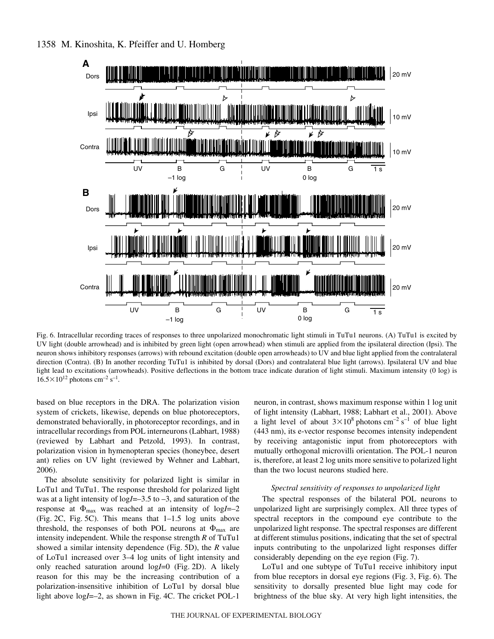

Fig. 6. Intracellular recording traces of responses to three unpolarized monochromatic light stimuli in TuTu1 neurons. (A) TuTu1 is excited by UV light (double arrowhead) and is inhibited by green light (open arrowhead) when stimuli are applied from the ipsilateral direction (Ipsi). The neuron shows inhibitory responses (arrows) with rebound excitation (double open arrowheads) to UV and blue light applied from the contralateral direction (Contra). (B) In another recording TuTu1 is inhibited by dorsal (Dors) and contralateral blue light (arrows). Ipsilateral UV and blue light lead to excitations (arrowheads). Positive deflections in the bottom trace indicate duration of light stimuli. Maximum intensity (0 log) is  $16.5\times10^{12}$  photons cm<sup>-2</sup> s<sup>-1</sup>.

based on blue receptors in the DRA. The polarization vision system of crickets, likewise, depends on blue photoreceptors, demonstrated behaviorally, in photoreceptor recordings, and in intracellular recordings from POL interneurons (Labhart, 1988) (reviewed by Labhart and Petzold, 1993). In contrast, polarization vision in hymenopteran species (honeybee, desert ant) relies on UV light (reviewed by Wehner and Labhart, 2006).

The absolute sensitivity for polarized light is similar in LoTu1 and TuTu1. The response threshold for polarized light was at a light intensity of log*I*=–3.5 to –3, and saturation of the response at  $\Phi_{\text{max}}$  was reached at an intensity of logI=–2 (Fig. 2C, Fig. 5C). This means that  $1-1.5$  log units above threshold, the responses of both POL neurons at  $\Phi_{\text{max}}$  are intensity independent. While the response strength *R* of TuTu1 showed a similar intensity dependence (Fig. 5D), the *R* value of LoTu1 increased over 3–4 log units of light intensity and only reached saturation around  $logI=0$  (Fig. 2D). A likely reason for this may be the increasing contribution of a polarization-insensitive inhibition of LoTu1 by dorsal blue light above log*I*=–2, as shown in Fig. 4C. The cricket POL-1 neuron, in contrast, shows maximum response within 1 log unit of light intensity (Labhart, 1988; Labhart et al., 2001). Above a light level of about  $3\times10^8$  photons cm<sup>-2</sup> s<sup>-1</sup> of blue light (443 nm), its e-vector response becomes intensity independent by receiving antagonistic input from photoreceptors with mutually orthogonal microvilli orientation. The POL-1 neuron is, therefore, at least 2 log units more sensitive to polarized light than the two locust neurons studied here.

### *Spectral sensitivity of responses to unpolarized light*

The spectral responses of the bilateral POL neurons to unpolarized light are surprisingly complex. All three types of spectral receptors in the compound eye contribute to the unpolarized light response. The spectral responses are different at different stimulus positions, indicating that the set of spectral inputs contributing to the unpolarized light responses differ considerably depending on the eye region (Fig. 7).

LoTu1 and one subtype of TuTu1 receive inhibitory input from blue receptors in dorsal eye regions (Fig. 3, Fig. 6). The sensitivity to dorsally presented blue light may code for brightness of the blue sky. At very high light intensities, the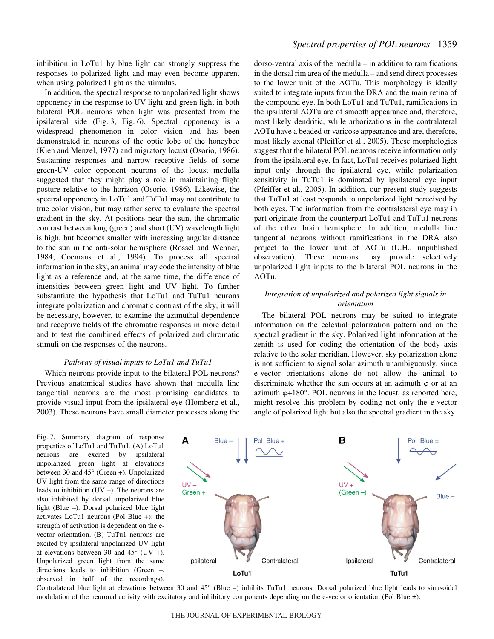inhibition in LoTu1 by blue light can strongly suppress the responses to polarized light and may even become apparent when using polarized light as the stimulus.

In addition, the spectral response to unpolarized light shows opponency in the response to UV light and green light in both bilateral POL neurons when light was presented from the ipsilateral side  $(Fig. 3, Fig. 6)$ . Spectral opponency is a widespread phenomenon in color vision and has been demonstrated in neurons of the optic lobe of the honeybee (Kien and Menzel, 1977) and migratory locust (Osorio, 1986). Sustaining responses and narrow receptive fields of some green-UV color opponent neurons of the locust medulla suggested that they might play a role in maintaining flight posture relative to the horizon (Osorio, 1986). Likewise, the spectral opponency in LoTu1 and TuTu1 may not contribute to true color vision, but may rather serve to evaluate the spectral gradient in the sky. At positions near the sun, the chromatic contrast between long (green) and short (UV) wavelength light is high, but becomes smaller with increasing angular distance to the sun in the anti-solar hemisphere (Rossel and Wehner, 1984; Coemans et al., 1994). To process all spectral information in the sky, an animal may code the intensity of blue light as a reference and, at the same time, the difference of intensities between green light and UV light. To further substantiate the hypothesis that LoTu1 and TuTu1 neurons integrate polarization and chromatic contrast of the sky, it will be necessary, however, to examine the azimuthal dependence and receptive fields of the chromatic responses in more detail and to test the combined effects of polarized and chromatic stimuli on the responses of the neurons.

#### *Pathway of visual inputs to LoTu1 and TuTu1*

Which neurons provide input to the bilateral POL neurons? Previous anatomical studies have shown that medulla line tangential neurons are the most promising candidates to provide visual input from the ipsilateral eye (Homberg et al., 2003). These neurons have small diameter processes along the

Fig. 7. Summary diagram of response properties of LoTu1 and TuTu1. (A) LoTu1 neurons are excited by ipsilateral unpolarized green light at elevations between 30 and 45° (Green +). Unpolarized UV light from the same range of directions leads to inhibition (UV –). The neurons are also inhibited by dorsal unpolarized blue light (Blue –). Dorsal polarized blue light activates LoTu1 neurons (Pol Blue +); the strength of activation is dependent on the evector orientation. (B) TuTu1 neurons are excited by ipsilateral unpolarized UV light at elevations between 30 and  $45^{\circ}$  (UV +). Unpolarized green light from the same directions leads to inhibition (Green –, observed in half of the recordings).

# *Spectral properties of POL neurons* 1359

dorso-ventral axis of the medulla – in addition to ramifications in the dorsal rim area of the medulla – and send direct processes to the lower unit of the AOTu. This morphology is ideally suited to integrate inputs from the DRA and the main retina of the compound eye. In both LoTu1 and TuTu1, ramifications in the ipsilateral AOTu are of smooth appearance and, therefore, most likely dendritic, while arborizations in the contralateral AOTu have a beaded or varicose appearance and are, therefore, most likely axonal (Pfeiffer et al., 2005). These morphologies suggest that the bilateral POL neurons receive information only from the ipsilateral eye. In fact, LoTu1 receives polarized-light input only through the ipsilateral eye, while polarization sensitivity in TuTu1 is dominated by ipsilateral eye input (Pfeiffer et al., 2005). In addition, our present study suggests that TuTu1 at least responds to unpolarized light perceived by both eyes. The information from the contralateral eye may in part originate from the counterpart LoTu1 and TuTu1 neurons of the other brain hemisphere. In addition, medulla line tangential neurons without ramifications in the DRA also project to the lower unit of AOTu (U.H., unpublished observation). These neurons may provide selectively unpolarized light inputs to the bilateral POL neurons in the AOTu.

## *Integration of unpolarized and polarized light signals in orientation*

The bilateral POL neurons may be suited to integrate information on the celestial polarization pattern and on the spectral gradient in the sky. Polarized light information at the zenith is used for coding the orientation of the body axis relative to the solar meridian. However, sky polarization alone is not sufficient to signal solar azimuth unambiguously, since e-vector orientations alone do not allow the animal to discriminate whether the sun occurs at an azimuth  $\varphi$  or at an azimuth  $\varphi$ +180°. POL neurons in the locust, as reported here, might resolve this problem by coding not only the e-vector angle of polarized light but also the spectral gradient in the sky.



Contralateral blue light at elevations between 30 and 45 $^{\circ}$  (Blue  $-$ ) inhibits TuTu1 neurons. Dorsal polarized blue light leads to sinusoidal modulation of the neuronal activity with excitatory and inhibitory components depending on the e-vector orientation (Pol Blue  $\pm$ ).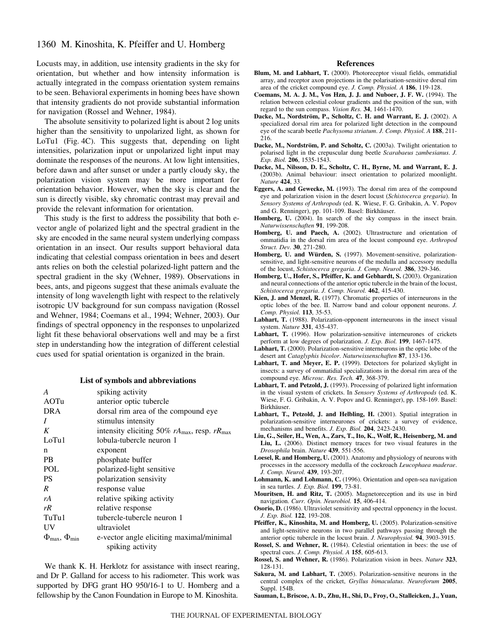# 1360 M. Kinoshita, K. Pfeiffer and U. Homberg

Locusts may, in addition, use intensity gradients in the sky for orientation, but whether and how intensity information is actually integrated in the compass orientation system remains to be seen. Behavioral experiments in homing bees have shown that intensity gradients do not provide substantial information for navigation (Rossel and Wehner, 1984).

The absolute sensitivity to polarized light is about 2 log units higher than the sensitivity to unpolarized light, as shown for LoTu1 (Fig. 4C). This suggests that, depending on light intensities, polarization input or unpolarized light input may dominate the responses of the neurons. At low light intensities, before dawn and after sunset or under a partly cloudy sky, the polarization vision system may be more important for orientation behavior. However, when the sky is clear and the sun is directly visible, sky chromatic contrast may prevail and provide the relevant information for orientation.

This study is the first to address the possibility that both evector angle of polarized light and the spectral gradient in the sky are encoded in the same neural system underlying compass orientation in an insect. Our results support behavioral data indicating that celestial compass orientation in bees and desert ants relies on both the celestial polarized-light pattern and the spectral gradient in the sky (Wehner, 1989). Observations in bees, ants, and pigeons suggest that these animals evaluate the intensity of long wavelength light with respect to the relatively isotropic UV background for sun compass navigation (Rossel and Wehner, 1984; Coemans et al., 1994; Wehner, 2003). Our findings of spectral opponency in the responses to unpolarized light fit these behavioral observations well and may be a first step in understanding how the integration of different celestial cues used for spatial orientation is organized in the brain.

### **List of symbols and abbreviations**

| A                                         | spiking activity                                                    |
|-------------------------------------------|---------------------------------------------------------------------|
| AOTu                                      | anterior optic tubercle                                             |
| <b>DRA</b>                                | dorsal rim area of the compound eye                                 |
| Ι                                         | stimulus intensity                                                  |
| K                                         | intensity eliciting 50% $rA_{\text{max}}$ , resp. $rR_{\text{max}}$ |
| LoTu1                                     | lobula-tubercle neuron 1                                            |
| n                                         | exponent                                                            |
| <b>PB</b>                                 | phosphate buffer                                                    |
| POL                                       | polarized-light sensitive                                           |
| <b>PS</b>                                 | polarization sensivity                                              |
| R                                         | response value                                                      |
| rA                                        | relative spiking activity                                           |
| rR                                        | relative response                                                   |
| TuTu1                                     | tubercle-tubercle neuron 1                                          |
| UV                                        | ultraviolet                                                         |
| $\Phi_{\text{max}}$ , $\Phi_{\text{min}}$ | e-vector angle eliciting maximal/minimal<br>spiking activity        |

We thank K. H. Herklotz for assistance with insect rearing, and Dr P. Galland for access to his radiometer. This work was supported by DFG grant HO 950/16-1 to U. Homberg and a fellowship by the Canon Foundation in Europe to M. Kinoshita.

#### **References**

- **Blum, M. and Labhart, T.** (2000). Photoreceptor visual fields, ommatidial array, and receptor axon projections in the polarisation-sensitive dorsal rim area of the cricket compound eye. *J. Comp. Physiol. A* **186**, 119-128.
- **Coemans, M. A. J. M., Vos Hzn, J. J. and Nuboer, J. F. W.** (1994). The relation between celestial colour gradients and the position of the sun, with regard to the sun compass. *Vision Res.* **34**, 1461-1470.
- **Dacke, M., Nordström, P., Scholtz, C. H. and Warrant, E. J.** (2002). A specialized dorsal rim area for polarized light detection in the compound eye of the scarab beetle *Pachysoma striatum*. *J. Comp. Physiol. A* **188**, 211- 216.
- **Dacke, M., Nordström, P. and Scholtz, C.** (2003a). Twilight orientation to polarised light in the crepuscular dung beetle *Scarabaeus zambesianus*. *J. Exp. Biol.* **206**, 1535-1543.
- **Dacke, M., Nilsson, D. E., Scholtz, C. H., Byrne, M. and Warrant, E. J.** (2003b). Animal behaviour: insect orientation to polarized moonlight. *Nature* **424**, 33.
- **Eggers, A. and Gewecke, M.** (1993). The dorsal rim area of the compound eye and polarization vision in the desert locust (*Schistocerca gregaria*). In *Sensory Systems of Arthropods* (ed. K. Wiese, F. G. Gribakin, A. V. Popov and G. Renninger), pp. 101-109. Basel: Birkhäuser.
- **Homberg, U.** (2004). In search of the sky compass in the insect brain. *Naturwissenschaften* **91**, 199-208.
- **Homberg, U. and Paech, A.** (2002). Ultrastructure and orientation of ommatidia in the dorsal rim area of the locust compound eye. *Arthropod Struct. Dev.* **30**, 271-280.
- **Homberg, U. and Würden, S.** (1997). Movement-sensitive, polarizationsensitive, and light-sensitive neurons of the medulla and accessory medulla of the locust, *Schistocerca gregaria*. *J. Comp. Neurol.* **386**, 329-346.
- **Homberg, U., Hofer, S., Pfeiffer, K. and Gebhardt, S.** (2003). Organization and neural connections of the anterior optic tubercle in the brain of the locust, *Schistocerca gregaria*. *J. Comp. Neurol.* **462**, 415-430.
- **Kien, J. and Menzel, R.** (1977). Chromatic properties of interneurons in the optic lobes of the bee. II. Narrow band and colour opponent neurons. *J. Comp. Physiol.* **113**, 35-53.
- Labhart, T. (1988). Polarization-opponent interneurons in the insect visual system. *Nature* **331**, 435-437.
- **Labhart, T.** (1996). How polarization-sensitive interneurones of crickets perform at low degrees of polarization. *J. Exp. Biol.* **199**, 1467-1475.
- **Labhart, T.** (2000). Polarization-sensitive interneurons in the optic lobe of the desert ant *Cataglyphis bicolor*. *Naturwissenschaften* **87**, 133-136.
- **Labhart, T. and Meyer, E. P.** (1999). Detectors for polarized skylight in insects: a survey of ommatidial specializations in the dorsal rim area of the compound eye. *Microsc. Res. Tech.* **47**, 368-379.
- **Labhart, T. and Petzold, J.** (1993). Processing of polarized light information in the visual system of crickets. In *Sensory Systems of Arthropods* (ed. K. Wiese, F. G. Gribakin, A. V. Popov and G. Renninger), pp. 158-169. Basel: **Birkhäuser**
- **Labhart, T., Petzold, J. and Helbling, H.** (2001). Spatial integration in polarization-sensitive interneurones of crickets: a survey of evidence, mechanisms and benefits. *J. Exp. Biol.* **204**, 2423-2430.
- **Liu, G., Seiler, H., Wen, A., Zars, T., Ito, K., Wolf, R., Heisenberg, M. and Liu, L.** (2006). Distinct memory traces for two visual features in the *Drosophila* brain. *Nature* **439**, 551-556.
- **Loesel, R. and Homberg, U.** (2001). Anatomy and physiology of neurons with processes in the accessory medulla of the cockroach *Leucophaea maderae*. *J. Comp. Neurol.* **439**, 193-207.
- **Lohmann, K. and Lohmann, C.** (1996). Orientation and open-sea navigation in sea turtles. *J. Exp. Biol.* **199**, 73-81.
- **Mouritsen, H. and Ritz, T.** (2005). Magnetoreception and its use in bird navigation. *Curr. Opin. Neurobiol.* **15**, 406-414.
- **Osorio, D.** (1986). Ultraviolet sensitivity and spectral opponency in the locust. *J. Exp. Biol.* **122**, 193-208.
- **Pfeiffer, K., Kinoshita, M. and Homberg, U.** (2005). Polarization-sensitive and light-sensitive neurons in two parallel pathways passing through the anterior optic tubercle in the locust brain. *J. Neurophysiol.* **94**, 3903-3915.
- **Rossel, S. and Wehner, R.** (1984). Celestial orientation in bees: the use of spectral cues. *J. Comp. Physiol. A* **155**, 605-613.
- **Rossel, S. and Wehner, R.** (1986). Polarization vision in bees. *Nature* **323**, 128-131.
- **Sakura, M. and Labhart, T.** (2005). Polarization-sensitive neurons in the central complex of the cricket, *Gryllus bimaculatus*. *Neuroforum* **2005**, Suppl. 154B.
- **Sauman, I., Briscoe, A. D., Zhu, H., Shi, D., Froy, O., Stalleicken, J., Yuan,**